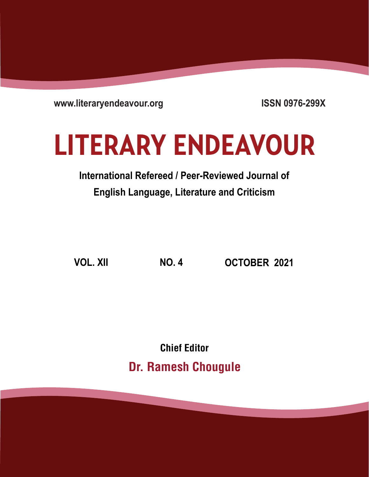**www.literaryendeavour.org**

**ISSN 0976-299X**

# **LITERARY ENDEAVOUR**

# **International Refereed / Peer-Reviewed Journal of English Language, Literature and Criticism**

**VOL. XII NO. 4 OCTOBER 2021**

Chief Editor Dr. Ramesh Chougule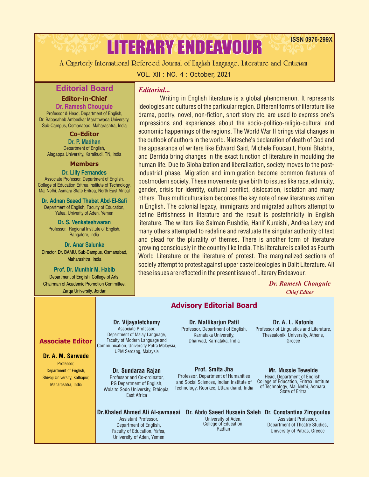**A Quarterly International Refereed Journal of English Language, Literature and Criticism**

LITERARY ENDEAVOUR

#### VOL. XII : NO. 4 : October, 2021

## **Editorial Board**

#### **Editor-in-Chief**

Dr. Ramesh Chougule Professor & Head, Department of English, Dr. Babasaheb Ambedkar Marathwada University, Sub-Campus, Osmanabad, Maharashtra, India

#### **Co-Editor**

Dr. P. Madhan Department of English, Alagappa University, Karaikudi, TN, India

#### **Members**

Dr. Lilly Fernandes

Associate Professor, Department of English, College of Education Eritrea Institute of Technology, Mai Nefhi, Asmara State Eritrea, North East Africal

Dr. Adnan Saeed Thabet Abd-El-Safi Department of English, Faculty of Education, Yafea, Univerity of Aden, Yemen

Dr. S. Venkateshwaran Professor, Regional Institute of English, Bangalore, India

#### Dr. Anar Salunke Director, Dr. BAMU, Sub-Campus, Osmanabad, Maharashtra, India

Prof. Dr. Munthir M. Habib Department of English, College of Arts, Chairman of Academic Promotion Committee, Zarqa University, Jordan

#### *Editorial...*

Writing in English literature is a global phenomenon. It represents ideologies and cultures of the particular region. Different forms of literature like drama, poetry, novel, non-fiction, short story etc. are used to express one's impressions and experiences about the socio-politico-religio-cultural and economic happenings of the regions. The World War II brings vital changes in the outlook of authors in the world. Nietzsche's declaration of death of God and the appearance of writers like Edward Said, Michele Foucault, Homi Bhabha, and Derrida bring changes in the exact function of literature in moulding the human life. Due to Globalization and liberalization, society moves to the postindustrial phase. Migration and immigration become common features of postmodern society. These movements give birth to issues like race, ethnicity, gender, crisis for identity, cultural conflict, dislocation, isolation and many others. Thus multiculturalism becomes the key note of new literatures written in English. The colonial legacy, immigrants and migrated authors attempt to define Britishness in literature and the result is postethnicity in English literature. The writers like Salman Rushdie, Hanif Kureishi, Andrea Levy and many others attempted to redefine and revaluate the singular authority of text and plead for the plurality of themes. There is another form of literature growing consciously in the country like India. This literature is called as Fourth World Literature or the literature of protest. The marginalized sections of society attempt to protest against upper caste ideologies in Dalit Literature. All these issues are reflected in the present issue of Literary Endeavour.

#### *Dr. Ramesh Chougule Chief Editor*

University of Patras, Greece

**ISSN 0976-299X**

#### **Advisory Editorial Board Associate Editor** Dr.Khaled Ahmed Ali Al-swmaeai Dr. Abdo Saeed Hussein Saleh Dr. Constantina Ziropoulou Assistant Professor, Department of English, Mr. Mussie Tewelde Head, Department of English, College of Education, Eritrea Institute of Technology, Mai Nefhi, Asmara, State of Eritra Dr. A. M. Sarwade Professor, Department of English, Shivaji University, Kolhapur, Maharashtra, India Dr. Sundaraa Rajan Professor and Co-ordinator, PG Department of English, Wolaito Sodo University, Ethiopia, East Africa Prof. Smita Jha Professor, Department of Humanities and Social Sciences, Indian Institute of Technology, Roorkee, Uttarakhand, India Dr. Mallikariun Patil Professor, Department of English, Karnataka University, Dharwad, Karnataka, India Dr. Vijayaletchumy Associate Professor, Department of Malay Language, Faculty of Modern Language and Communication, University Putra Malaysia, UPM Serdang, Malaysia Dr. A. L. Katonis Professor of Linguistics and Literature, Thessaloniki University, Athens, Greece University of Aden, College of Education, Radfan Assistant Professor, Department of Theatre Studies,

Faculty of Education, Yafea, University of Aden, Yemen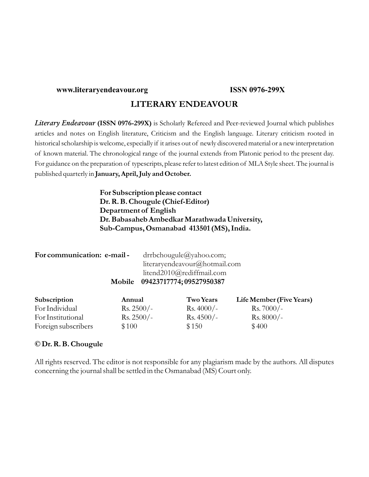#### **www.literaryendeavour.org ISSN 0976-299X**

### **LITERARY ENDEAVOUR**

*Literary Endeavour* **(ISSN 0976-299X)** is Scholarly Refereed and Peer-reviewed Journal which publishes articles and notes on English literature, Criticism and the English language. Literary criticism rooted in historical scholarship is welcome, especially if it arises out of newly discovered material or a new interpretation of known material. The chronological range of the journal extends from Platonic period to the present day. For guidance on the preparation of typescripts, please refer to latest edition of MLA Style sheet. The journal is published quarterly in **January, April, July and October.**

> **For Subscription please contact Dr. R. B. Chougule (Chief-Editor) Department of English Dr. Babasaheb Ambedkar Marathwada University, Sub-Campus, Osmanabad 413501 (MS), India.**

| For communication: e-mail- | drrbchougule@yahoo.com;         |
|----------------------------|---------------------------------|
|                            | literaryendeavour@hotmail.com   |
|                            | litend2010@rediffmail.com       |
|                            | Mobile 09423717774; 09527950387 |

| Subscription        | Annual               | <b>Two Years</b>    | Life Member (Five Years) |
|---------------------|----------------------|---------------------|--------------------------|
| For Individual      | $\text{Rs. } 2500/-$ | $\text{Rs. }4000/-$ | $\text{Rs.}7000/-$       |
| For Institutional   | $\text{Rs. } 2500/-$ | $Rs.4500/-$         | $\text{Rs. }8000/-$      |
| Foreign subscribers | \$100                | \$150               | \$400                    |

#### **© Dr. R. B. Chougule**

All rights reserved. The editor is not responsible for any plagiarism made by the authors. All disputes concerning the journal shall be settled in the Osmanabad (MS) Court only.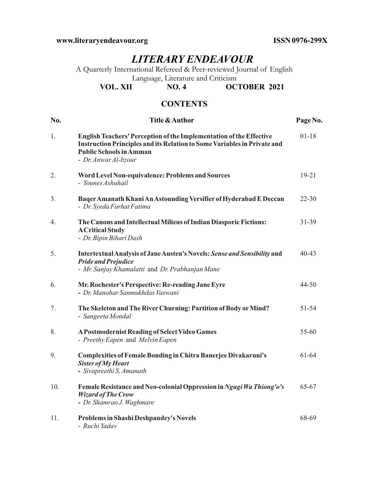**www.literaryendeavour.org ISSN 0976-299X**

# *LITERARY ENDEAVOUR*

A Quarterly International Refereed & Peer-reviewed Journal of English Language, Literature and Criticism<br>VOL. XII NO. 4 OC.

**OCTOBER 2021** 

## **CONTENTS**

| No. | <b>Title &amp; Author</b>                                                                                                                                                                                        | Page No.  |
|-----|------------------------------------------------------------------------------------------------------------------------------------------------------------------------------------------------------------------|-----------|
| 1.  | <b>English Teachers' Perception of the Implementation of the Effective</b><br>Instruction Principles and its Relation to Some Variables in Private and<br><b>Public Schools in Amman</b><br>- Dr. Anwar Al-bzour | $01 - 18$ |
| 2.  | Word Level Non-equivalence: Problems and Sources<br>- Younes Ashuhail                                                                                                                                            | $19 - 21$ |
| 3.  | Baqer Amanath Khani An Astounding Versifier of Hyderabad E Deccan<br>- Dr. Syeda Farhat Fatima                                                                                                                   | $22 - 30$ |
| 4.  | The Canons and Intellectual Milieus of Indian Diasporic Fictions:<br><b>A Critical Study</b><br>- Dr. Bipin Bihari Dash                                                                                          | 31-39     |
| 5.  | Intertextual Analysis of Jane Austen's Novels: Sense and Sensibility and<br><b>Pride and Prejudice</b><br>- Mr. Sanjay Khamalatti and Dr. Prabhanjan Mane                                                        | 40-43     |
| 6.  | Mr. Rochester's Perspective: Re-reading Jane Eyre<br>- Dr. Manohar Sanmukhdas Vaswani                                                                                                                            | 44-50     |
| 7.  | The Skeleton and The River Churning: Partition of Body or Mind?<br>- Sangeeta Mondal                                                                                                                             | 51-54     |
| 8.  | <b>A Postmodernist Reading of Select Video Games</b><br>- Preethy Eapen and Melvin Eapen                                                                                                                         | 55-60     |
| 9.  | <b>Complexities of Female Bonding in Chitra Banerjee Divakaruni's</b><br><b>Sister of My Heart</b><br>- Sivapreethi S, Amanath                                                                                   | 61-64     |
| 10. | Female Resistance and Neo-colonial Oppression in Ngugi Wa Thiong'o's<br><b>Wizard of The Crow</b><br>- Dr. Shamrao J. Waghmare                                                                                   | 65-67     |
| 11. | <b>Problems in Shashi Deshpandey's Novels</b><br>- Ruchi Yadav                                                                                                                                                   | 68-69     |